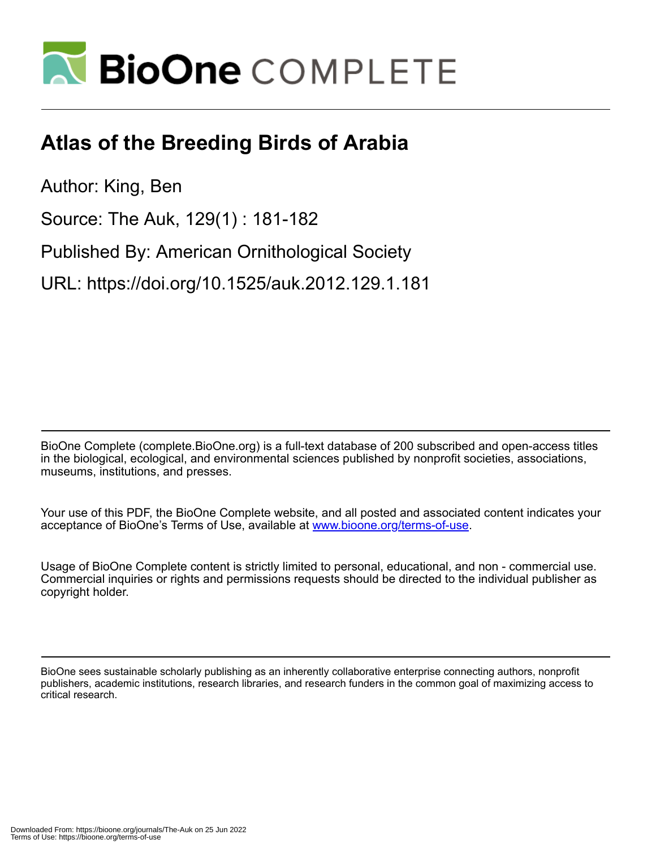

## **Atlas of the Breeding Birds of Arabia**

Author: King, Ben

Source: The Auk, 129(1) : 181-182

Published By: American Ornithological Society

URL: https://doi.org/10.1525/auk.2012.129.1.181

BioOne Complete (complete.BioOne.org) is a full-text database of 200 subscribed and open-access titles in the biological, ecological, and environmental sciences published by nonprofit societies, associations, museums, institutions, and presses.

Your use of this PDF, the BioOne Complete website, and all posted and associated content indicates your acceptance of BioOne's Terms of Use, available at www.bioone.org/terms-of-use.

Usage of BioOne Complete content is strictly limited to personal, educational, and non - commercial use. Commercial inquiries or rights and permissions requests should be directed to the individual publisher as copyright holder.

BioOne sees sustainable scholarly publishing as an inherently collaborative enterprise connecting authors, nonprofit publishers, academic institutions, research libraries, and research funders in the common goal of maximizing access to critical research.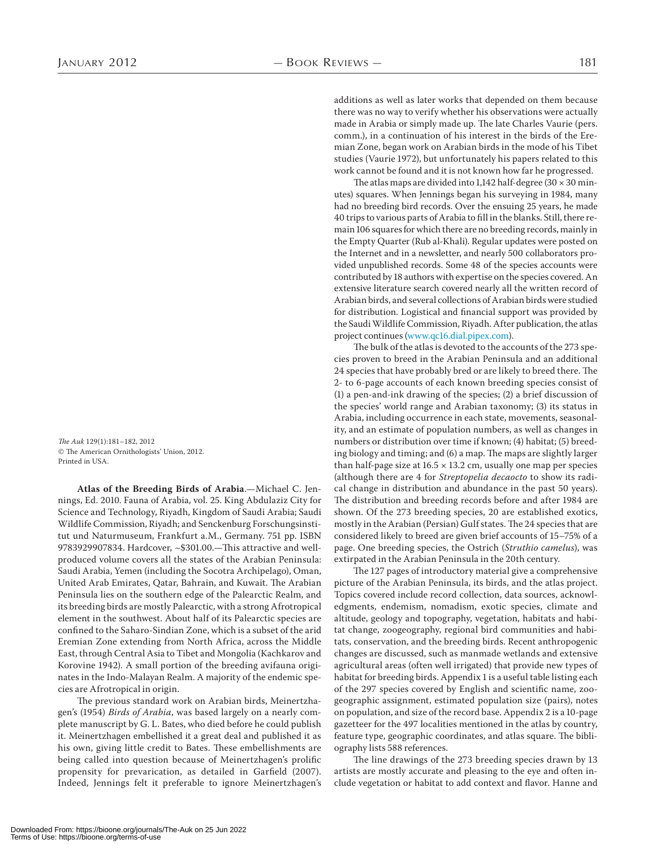The Auk 129(1):181–182, 2012 © The American Ornithologists' Union, 2012. Printed in USA.

**Atlas of the Breeding Birds of Arabia**.—Michael C. Jennings, Ed. 2010. Fauna of Arabia, vol. 25. King Abdulaziz City for Science and Technology, Riyadh, Kingdom of Saudi Arabia; Saudi Wildlife Commission, Riyadh; and Senckenburg Forschungsinstitut und Naturmuseum, Frankfurt a.M., Germany. 751 pp. ISBN 9783929907834. Hardcover, ~\$301.00.—This attractive and wellproduced volume covers all the states of the Arabian Peninsula: Saudi Arabia, Yemen (including the Socotra Archipelago), Oman, United Arab Emirates, Qatar, Bahrain, and Kuwait. The Arabian Peninsula lies on the southern edge of the Palearctic Realm, and its breeding birds are mostly Palearctic, with a strong Afrotropical element in the southwest. About half of its Palearctic species are confined to the Saharo-Sindian Zone, which is a subset of the arid Eremian Zone extending from North Africa, across the Middle East, through Central Asia to Tibet and Mongolia (Kachkarov and Korovine 1942). A small portion of the breeding avifauna originates in the Indo-Malayan Realm. A majority of the endemic species are Afrotropical in origin.

The previous standard work on Arabian birds, Meinertzhagen's (1954) Birds of Arabia, was based largely on a nearly complete manuscript by G. L. Bates, who died before he could publish it. Meinertzhagen embellished it a great deal and published it as his own, giving little credit to Bates. These embellishments are being called into question because of Meinertzhagen's prolific propensity for prevarication, as detailed in Garfield (2007). Indeed, Jennings felt it preferable to ignore Meinertzhagen's additions as well as later works that depended on them because there was no way to verify whether his observations were actually made in Arabia or simply made up. The late Charles Vaurie (pers. comm.), in a continuation of his interest in the birds of the Eremian Zone, began work on Arabian birds in the mode of his Tibet studies (Vaurie 1972), but unfortunately his papers related to this work cannot be found and it is not known how far he progressed.

The atlas maps are divided into 1,142 half-degree ( $30 \times 30$  minutes) squares. When Jennings began his surveying in 1984, many had no breeding bird records. Over the ensuing 25 years, he made 40 trips to various parts of Arabia to fill in the blanks. Still, there remain 106 squares for which there are no breeding records, mainly in the Empty Quarter (Rub al-Khali). Regular updates were posted on the Internet and in a newsletter, and nearly 500 collaborators provided unpublished records. Some 48 of the species accounts were contributed by 18 authors with expertise on the species covered. An extensive literature search covered nearly all the written record of Arabian birds, and several collections of Arabian birds were studied for distribution. Logistical and financial support was provided by the Saudi Wildlife Commission, Riyadh. After publication, the atlas project continues (www.qc16.dial.pipex.com).

The bulk of the atlas is devoted to the accounts of the 273 species proven to breed in the Arabian Peninsula and an additional 24 species that have probably bred or are likely to breed there. The 2- to 6-page accounts of each known breeding species consist of  $(1)$  a pen-and-ink drawing of the species;  $(2)$  a brief discussion of the species' world range and Arabian taxonomy; (3) its status in Arabia, including occurrence in each state, movements, seasonality, and an estimate of population numbers, as well as changes in numbers or distribution over time if known; (4) habitat; (5) breeding biology and timing; and (6) a map. The maps are slightly larger than half-page size at  $16.5 \times 13.2$  cm, usually one map per species (although there are 4 for Streptopelia decaocto to show its radical change in distribution and abundance in the past 50 years). The distribution and breeding records before and after 1984 are shown. Of the 273 breeding species, 20 are established exotics, mostly in the Arabian (Persian) Gulf states. The 24 species that are considered likely to breed are given brief accounts of 15-75% of a page. One breeding species, the Ostrich (Struthio camelus), was extirpated in the Arabian Peninsula in the 20th century.

The 127 pages of introductory material give a comprehensive picture of the Arabian Peninsula, its birds, and the atlas project. Topics covered include record collection, data sources, acknowledgments, endemism, nomadism, exotic species, climate and altitude, geology and topography, vegetation, habitats and habitat change, zoogeography, regional bird communities and habitats, conservation, and the breeding birds. Recent anthropogenic changes are discussed, such as manmade wetlands and extensive agricultural areas (often well irrigated) that provide new types of habitat for breeding birds. Appendix 1 is a useful table listing each of the 297 species covered by English and scientific name, zoogeographic assignment, estimated population size (pairs), notes on population, and size of the record base. Appendix 2 is a 10-page gazetteer for the 497 localities mentioned in the atlas by country, feature type, geographic coordinates, and atlas square. The bibliography lists 588 references.

The line drawings of the 273 breeding species drawn by 13 artists are mostly accurate and pleasing to the eye and often include vegetation or habitat to add context and flavor. Hanne and